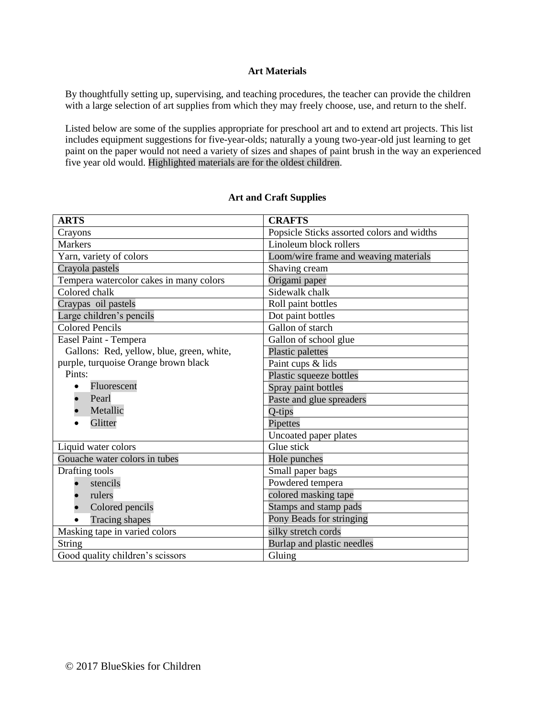## **Art Materials**

By thoughtfully setting up, supervising, and teaching procedures, the teacher can provide the children with a large selection of art supplies from which they may freely choose, use, and return to the shelf.

Listed below are some of the supplies appropriate for preschool art and to extend art projects. This list includes equipment suggestions for five-year-olds; naturally a young two-year-old just learning to get paint on the paper would not need a variety of sizes and shapes of paint brush in the way an experienced five year old would. Highlighted materials are for the oldest children.

| <b>ARTS</b>                               | <b>CRAFTS</b>                              |
|-------------------------------------------|--------------------------------------------|
| Crayons                                   | Popsicle Sticks assorted colors and widths |
| <b>Markers</b>                            | Linoleum block rollers                     |
| Yarn, variety of colors                   | Loom/wire frame and weaving materials      |
| Crayola pastels                           | Shaving cream                              |
| Tempera watercolor cakes in many colors   | Origami paper                              |
| Colored chalk                             | Sidewalk chalk                             |
| Craypas oil pastels                       | Roll paint bottles                         |
| Large children's pencils                  | Dot paint bottles                          |
| <b>Colored Pencils</b>                    | Gallon of starch                           |
| Easel Paint - Tempera                     | Gallon of school glue                      |
| Gallons: Red, yellow, blue, green, white, | Plastic palettes                           |
| purple, turquoise Orange brown black      | Paint cups & lids                          |
| Pints:                                    | Plastic squeeze bottles                    |
| Fluorescent                               | Spray paint bottles                        |
| Pearl                                     | Paste and glue spreaders                   |
| Metallic                                  | Q-tips                                     |
| Glitter                                   | Pipettes                                   |
|                                           | Uncoated paper plates                      |
| Liquid water colors                       | Glue stick                                 |
| Gouache water colors in tubes             | Hole punches                               |
| Drafting tools                            | Small paper bags                           |
| stencils                                  | Powdered tempera                           |
| rulers                                    | colored masking tape                       |
| Colored pencils                           | Stamps and stamp pads                      |
| <b>Tracing shapes</b>                     | Pony Beads for stringing                   |
| Masking tape in varied colors             | silky stretch cords                        |
| String                                    | Burlap and plastic needles                 |
| Good quality children's scissors          | Gluing                                     |

## **Art and Craft Supplies**